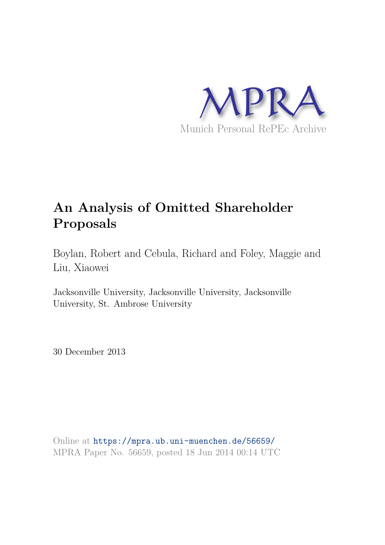

# **An Analysis of Omitted Shareholder Proposals**

Boylan, Robert and Cebula, Richard and Foley, Maggie and Liu, Xiaowei

Jacksonville University, Jacksonville University, Jacksonville University, St. Ambrose University

30 December 2013

Online at https://mpra.ub.uni-muenchen.de/56659/ MPRA Paper No. 56659, posted 18 Jun 2014 00:14 UTC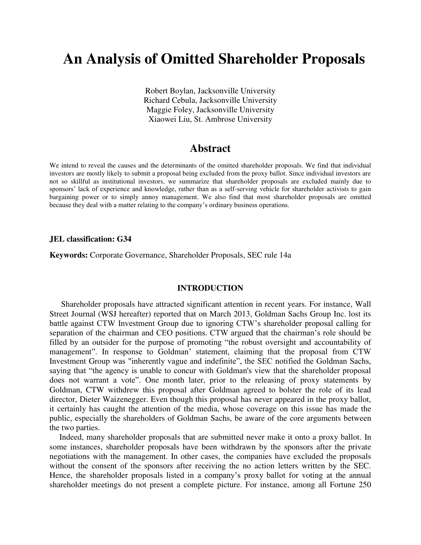## **An Analysis of Omitted Shareholder Proposals**

Robert Boylan, Jacksonville University Richard Cebula, Jacksonville University Maggie Foley, Jacksonville University Xiaowei Liu, St. Ambrose University

## **Abstract**

We intend to reveal the causes and the determinants of the omitted shareholder proposals. We find that individual investors are mostly likely to submit a proposal being excluded from the proxy ballot. Since individual investors are not so skillful as institutional investors, we summarize that shareholder proposals are excluded mainly due to sponsors' lack of experience and knowledge, rather than as a self-serving vehicle for shareholder activists to gain bargaining power or to simply annoy management. We also find that most shareholder proposals are omitted because they deal with a matter relating to the company's ordinary business operations.

#### **JEL classification: G34**

**Keywords:** Corporate Governance, Shareholder Proposals, SEC rule 14a

#### **INTRODUCTION**

Shareholder proposals have attracted significant attention in recent years. For instance, Wall Street Journal (WSJ hereafter) reported that on March 2013, Goldman Sachs Group Inc. lost its battle against CTW Investment Group due to ignoring CTW's shareholder proposal calling for separation of the chairman and CEO positions. CTW argued that the chairman's role should be filled by an outsider for the purpose of promoting "the robust oversight and accountability of management". In response to Goldman' statement, claiming that the proposal from CTW Investment Group was "inherently vague and indefinite", the SEC notified the Goldman Sachs, saying that "the agency is unable to concur with Goldman's view that the shareholder proposal does not warrant a vote". One month later, prior to the releasing of proxy statements by Goldman, CTW withdrew this proposal after Goldman agreed to bolster the role of its lead director, Dieter Waizenegger. Even though this proposal has never appeared in the proxy ballot, it certainly has caught the attention of the media, whose coverage on this issue has made the public, especially the shareholders of Goldman Sachs, be aware of the core arguments between the two parties.

Indeed, many shareholder proposals that are submitted never make it onto a proxy ballot. In some instances, shareholder proposals have been withdrawn by the sponsors after the private negotiations with the management. In other cases, the companies have excluded the proposals without the consent of the sponsors after receiving the no action letters written by the SEC. Hence, the shareholder proposals listed in a company's proxy ballot for voting at the annual shareholder meetings do not present a complete picture. For instance, among all Fortune 250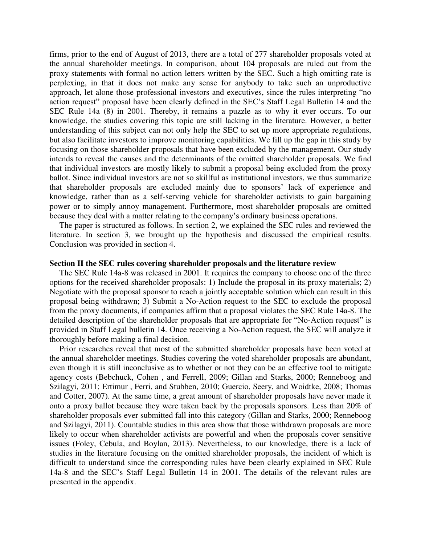firms, prior to the end of August of 2013, there are a total of 277 shareholder proposals voted at the annual shareholder meetings. In comparison, about 104 proposals are ruled out from the proxy statements with formal no action letters written by the SEC. Such a high omitting rate is perplexing, in that it does not make any sense for anybody to take such an unproductive approach, let alone those professional investors and executives, since the rules interpreting "no action request" proposal have been clearly defined in the SEC's Staff Legal Bulletin 14 and the SEC Rule 14a (8) in 2001. Thereby, it remains a puzzle as to why it ever occurs. To our knowledge, the studies covering this topic are still lacking in the literature. However, a better understanding of this subject can not only help the SEC to set up more appropriate regulations, but also facilitate investors to improve monitoring capabilities. We fill up the gap in this study by focusing on those shareholder proposals that have been excluded by the management. Our study intends to reveal the causes and the determinants of the omitted shareholder proposals. We find that individual investors are mostly likely to submit a proposal being excluded from the proxy ballot. Since individual investors are not so skillful as institutional investors, we thus summarize that shareholder proposals are excluded mainly due to sponsors' lack of experience and knowledge, rather than as a self-serving vehicle for shareholder activists to gain bargaining power or to simply annoy management. Furthermore, most shareholder proposals are omitted because they deal with a matter relating to the company's ordinary business operations.

The paper is structured as follows. In section 2, we explained the SEC rules and reviewed the literature. In section 3, we brought up the hypothesis and discussed the empirical results. Conclusion was provided in section 4.

#### **Section II the SEC rules covering shareholder proposals and the literature review**

The SEC Rule 14a-8 was released in 2001. It requires the company to choose one of the three options for the received shareholder proposals: 1) Include the proposal in its proxy materials; 2) Negotiate with the proposal sponsor to reach a jointly acceptable solution which can result in this proposal being withdrawn; 3) Submit a No-Action request to the SEC to exclude the proposal from the proxy documents, if companies affirm that a proposal violates the SEC Rule 14a-8. The detailed description of the shareholder proposals that are appropriate for "No-Action request" is provided in Staff Legal bulletin 14. Once receiving a No-Action request, the SEC will analyze it thoroughly before making a final decision.

Prior researches reveal that most of the submitted shareholder proposals have been voted at the annual shareholder meetings. Studies covering the voted shareholder proposals are abundant, even though it is still inconclusive as to whether or not they can be an effective tool to mitigate agency costs (Bebchuck, Cohen , and Ferrell, 2009; Gillan and Starks, 2000; Renneboog and Szilagyi, 2011; Ertimur , Ferri, and Stubben, 2010; Guercio, Seery, and Woidtke, 2008; Thomas and Cotter, 2007). At the same time, a great amount of shareholder proposals have never made it onto a proxy ballot because they were taken back by the proposals sponsors. Less than 20% of shareholder proposals ever submitted fall into this category (Gillan and Starks, 2000; Renneboog and Szilagyi, 2011). Countable studies in this area show that those withdrawn proposals are more likely to occur when shareholder activists are powerful and when the proposals cover sensitive issues (Foley, Cebula, and Boylan, 2013). Nevertheless, to our knowledge, there is a lack of studies in the literature focusing on the omitted shareholder proposals, the incident of which is difficult to understand since the corresponding rules have been clearly explained in SEC Rule 14a-8 and the SEC's Staff Legal Bulletin 14 in 2001. The details of the relevant rules are presented in the appendix.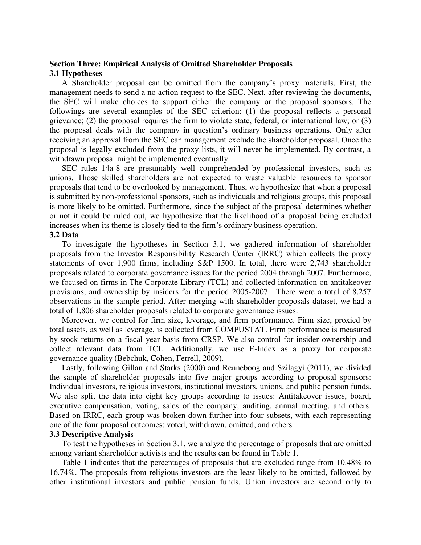## **Section Three: Empirical Analysis of Omitted Shareholder Proposals 3.1 Hypotheses**

A Shareholder proposal can be omitted from the company's proxy materials. First, the management needs to send a no action request to the SEC. Next, after reviewing the documents, the SEC will make choices to support either the company or the proposal sponsors. The followings are several examples of the SEC criterion: (1) the proposal reflects a personal grievance; (2) the proposal requires the firm to violate state, federal, or international law; or (3) the proposal deals with the company in question's ordinary business operations. Only after receiving an approval from the SEC can management exclude the shareholder proposal. Once the proposal is legally excluded from the proxy lists, it will never be implemented. By contrast, a withdrawn proposal might be implemented eventually.

SEC rules 14a-8 are presumably well comprehended by professional investors, such as unions. Those skilled shareholders are not expected to waste valuable resources to sponsor proposals that tend to be overlooked by management. Thus, we hypothesize that when a proposal is submitted by non-professional sponsors, such as individuals and religious groups, this proposal is more likely to be omitted. Furthermore, since the subject of the proposal determines whether or not it could be ruled out, we hypothesize that the likelihood of a proposal being excluded increases when its theme is closely tied to the firm's ordinary business operation.

#### **3.2 Data**

To investigate the hypotheses in Section 3.1, we gathered information of shareholder proposals from the Investor Responsibility Research Center (IRRC) which collects the proxy statements of over 1,900 firms, including S&P 1500. In total, there were 2,743 shareholder proposals related to corporate governance issues for the period 2004 through 2007. Furthermore, we focused on firms in The Corporate Library (TCL) and collected information on antitakeover provisions, and ownership by insiders for the period 2005-2007. There were a total of 8,257 observations in the sample period. After merging with shareholder proposals dataset, we had a total of 1,806 shareholder proposals related to corporate governance issues.

Moreover, we control for firm size, leverage, and firm performance. Firm size, proxied by total assets, as well as leverage, is collected from COMPUSTAT. Firm performance is measured by stock returns on a fiscal year basis from CRSP. We also control for insider ownership and collect relevant data from TCL. Additionally, we use E-Index as a proxy for corporate governance quality (Bebchuk, Cohen, Ferrell, 2009).

Lastly, following Gillan and Starks (2000) and Renneboog and Szilagyi (2011), we divided the sample of shareholder proposals into five major groups according to proposal sponsors: Individual investors, religious investors, institutional investors, unions, and public pension funds. We also split the data into eight key groups according to issues: Antitakeover issues, board, executive compensation, voting, sales of the company, auditing, annual meeting, and others. Based on IRRC, each group was broken down further into four subsets, with each representing one of the four proposal outcomes: voted, withdrawn, omitted, and others.

#### **3.3 Descriptive Analysis**

To test the hypotheses in Section 3.1, we analyze the percentage of proposals that are omitted among variant shareholder activists and the results can be found in Table 1.

Table 1 indicates that the percentages of proposals that are excluded range from 10.48% to 16.74%. The proposals from religious investors are the least likely to be omitted, followed by other institutional investors and public pension funds. Union investors are second only to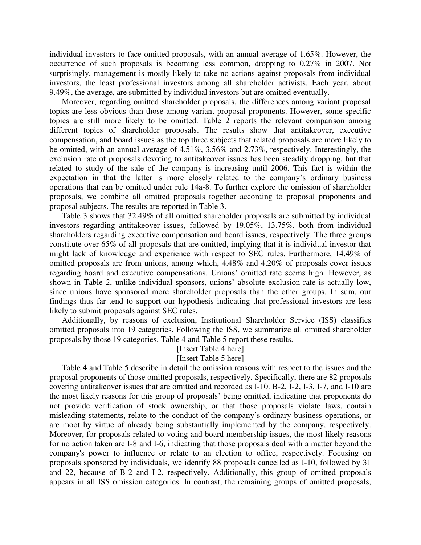individual investors to face omitted proposals, with an annual average of 1.65%. However, the occurrence of such proposals is becoming less common, dropping to 0.27% in 2007. Not surprisingly, management is mostly likely to take no actions against proposals from individual investors, the least professional investors among all shareholder activists. Each year, about 9.49%, the average, are submitted by individual investors but are omitted eventually.

Moreover, regarding omitted shareholder proposals, the differences among variant proposal topics are less obvious than those among variant proposal proponents. However, some specific topics are still more likely to be omitted. Table 2 reports the relevant comparison among different topics of shareholder proposals. The results show that antitakeover, executive compensation, and board issues as the top three subjects that related proposals are more likely to be omitted, with an annual average of 4.51%, 3.56% and 2.73%, respectively. Interestingly, the exclusion rate of proposals devoting to antitakeover issues has been steadily dropping, but that related to study of the sale of the company is increasing until 2006. This fact is within the expectation in that the latter is more closely related to the company's ordinary business operations that can be omitted under rule 14a-8. To further explore the omission of shareholder proposals, we combine all omitted proposals together according to proposal proponents and proposal subjects. The results are reported in Table 3.

Table 3 shows that 32.49% of all omitted shareholder proposals are submitted by individual investors regarding antitakeover issues, followed by 19.05%, 13.75%, both from individual shareholders regarding executive compensation and board issues, respectively. The three groups constitute over 65% of all proposals that are omitted, implying that it is individual investor that might lack of knowledge and experience with respect to SEC rules. Furthermore, 14.49% of omitted proposals are from unions, among which, 4.48% and 4.20% of proposals cover issues regarding board and executive compensations. Unions' omitted rate seems high. However, as shown in Table 2, unlike individual sponsors, unions' absolute exclusion rate is actually low, since unions have sponsored more shareholder proposals than the other groups. In sum, our findings thus far tend to support our hypothesis indicating that professional investors are less likely to submit proposals against SEC rules.

Additionally, by reasons of exclusion, Institutional Shareholder Service (ISS) classifies omitted proposals into 19 categories. Following the ISS, we summarize all omitted shareholder proposals by those 19 categories. Table 4 and Table 5 report these results.

## [Insert Table 4 here]

#### [Insert Table 5 here]

Table 4 and Table 5 describe in detail the omission reasons with respect to the issues and the proposal proponents of those omitted proposals, respectively. Specifically, there are 82 proposals covering antitakeover issues that are omitted and recorded as I-10. B-2, I-2, I-3, I-7, and I-10 are the most likely reasons for this group of proposals' being omitted, indicating that proponents do not provide verification of stock ownership, or that those proposals violate laws, contain misleading statements, relate to the conduct of the company's ordinary business operations, or are moot by virtue of already being substantially implemented by the company, respectively. Moreover, for proposals related to voting and board membership issues, the most likely reasons for no action taken are I-8 and I-6, indicating that those proposals deal with a matter beyond the company's power to influence or relate to an election to office, respectively. Focusing on proposals sponsored by individuals, we identify 88 proposals cancelled as I-10, followed by 31 and 22, because of B-2 and I-2, respectively. Additionally, this group of omitted proposals appears in all ISS omission categories. In contrast, the remaining groups of omitted proposals,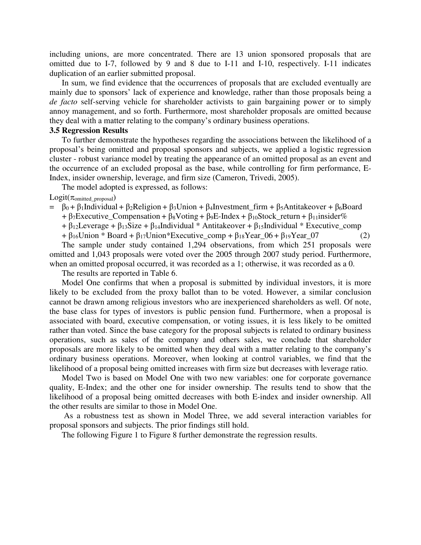including unions, are more concentrated. There are 13 union sponsored proposals that are omitted due to I-7, followed by 9 and 8 due to I-11 and I-10, respectively. I-11 indicates duplication of an earlier submitted proposal.

In sum, we find evidence that the occurrences of proposals that are excluded eventually are mainly due to sponsors' lack of experience and knowledge, rather than those proposals being a *de facto* self-serving vehicle for shareholder activists to gain bargaining power or to simply annoy management, and so forth. Furthermore, most shareholder proposals are omitted because they deal with a matter relating to the company's ordinary business operations.

#### **3.5 Regression Results**

To further demonstrate the hypotheses regarding the associations between the likelihood of a proposal's being omitted and proposal sponsors and subjects, we applied a logistic regression cluster - robust variance model by treating the appearance of an omitted proposal as an event and the occurrence of an excluded proposal as the base, while controlling for firm performance, E-Index, insider ownership, leverage, and firm size (Cameron, Trivedi, 2005).

The model adopted is expressed, as follows:

 $Logit(\pi_{omitted\;proposal})$ 

- $= \beta_0 + \beta_1$ Individual +  $\beta_2$ Religion +  $\beta_3$ Union +  $\beta_4$ Investment\_firm +  $\beta_5$ Antitakeover +  $\beta_6$ Board
	- +  $\beta$ 7Executive\_Compensation +  $\beta_8$ Voting +  $\beta_9$ E-Index +  $\beta_{10}$ Stock\_return +  $\beta_{11}$ insider%
	- +  $\beta_{12}$ Leverage +  $\beta_{13}$ Size +  $\beta_{14}$ Individual \* Antitakeover +  $\beta_{15}$ Individual \* Executive\_comp
	- $+ \beta_{16}$ Union \* Board + β<sub>17</sub>Union \* Executive comp + β<sub>18</sub>Year 06 + β<sub>19</sub>Year 07 (2)

The sample under study contained 1,294 observations, from which 251 proposals were omitted and 1,043 proposals were voted over the 2005 through 2007 study period. Furthermore, when an omitted proposal occurred, it was recorded as a 1; otherwise, it was recorded as a 0.

The results are reported in Table 6.

Model One confirms that when a proposal is submitted by individual investors, it is more likely to be excluded from the proxy ballot than to be voted. However, a similar conclusion cannot be drawn among religious investors who are inexperienced shareholders as well. Of note, the base class for types of investors is public pension fund. Furthermore, when a proposal is associated with board, executive compensation, or voting issues, it is less likely to be omitted rather than voted. Since the base category for the proposal subjects is related to ordinary business operations, such as sales of the company and others sales, we conclude that shareholder proposals are more likely to be omitted when they deal with a matter relating to the company's ordinary business operations. Moreover, when looking at control variables, we find that the likelihood of a proposal being omitted increases with firm size but decreases with leverage ratio.

Model Two is based on Model One with two new variables: one for corporate governance quality, E-Index; and the other one for insider ownership. The results tend to show that the likelihood of a proposal being omitted decreases with both E-index and insider ownership. All the other results are similar to those in Model One.

 As a robustness test as shown in Model Three, we add several interaction variables for proposal sponsors and subjects. The prior findings still hold.

The following Figure 1 to Figure 8 further demonstrate the regression results.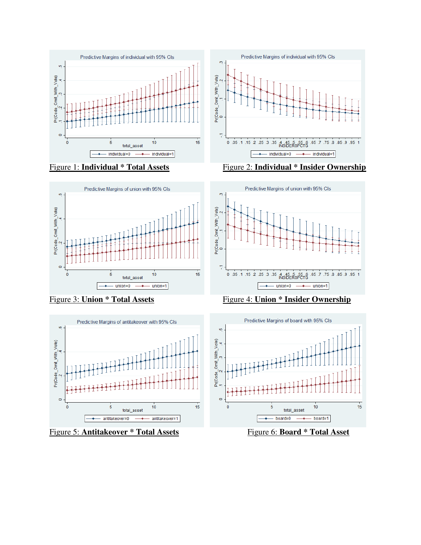







Figure 5: **Antitakeover \* Total Assets** Figure 6: **Board \* Total Asset**







Figure 3: **Union \* Total Assets** Figure 4: **Union \* Insider Ownership**

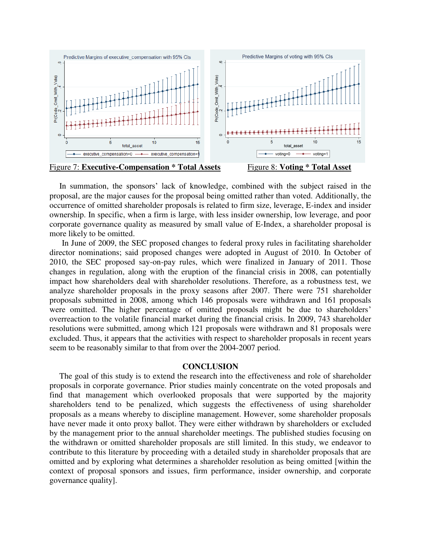

In summation, the sponsors' lack of knowledge, combined with the subject raised in the proposal, are the major causes for the proposal being omitted rather than voted. Additionally, the occurrence of omitted shareholder proposals is related to firm size, leverage, E-index and insider ownership. In specific, when a firm is large, with less insider ownership, low leverage, and poor corporate governance quality as measured by small value of E-Index, a shareholder proposal is more likely to be omitted.

In June of 2009, the SEC proposed changes to federal proxy rules in facilitating shareholder director nominations; said proposed changes were adopted in August of 2010. In October of 2010, the SEC proposed say-on-pay rules, which were finalized in January of 2011. Those changes in regulation, along with the eruption of the financial crisis in 2008, can potentially impact how shareholders deal with shareholder resolutions. Therefore, as a robustness test, we analyze shareholder proposals in the proxy seasons after 2007. There were 751 shareholder proposals submitted in 2008, among which 146 proposals were withdrawn and 161 proposals were omitted. The higher percentage of omitted proposals might be due to shareholders' overreaction to the volatile financial market during the financial crisis. In 2009, 743 shareholder resolutions were submitted, among which 121 proposals were withdrawn and 81 proposals were excluded. Thus, it appears that the activities with respect to shareholder proposals in recent years seem to be reasonably similar to that from over the 2004-2007 period.

#### **CONCLUSION**

The goal of this study is to extend the research into the effectiveness and role of shareholder proposals in corporate governance. Prior studies mainly concentrate on the voted proposals and find that management which overlooked proposals that were supported by the majority shareholders tend to be penalized, which suggests the effectiveness of using shareholder proposals as a means whereby to discipline management. However, some shareholder proposals have never made it onto proxy ballot. They were either withdrawn by shareholders or excluded by the management prior to the annual shareholder meetings. The published studies focusing on the withdrawn or omitted shareholder proposals are still limited. In this study, we endeavor to contribute to this literature by proceeding with a detailed study in shareholder proposals that are omitted and by exploring what determines a shareholder resolution as being omitted [within the context of proposal sponsors and issues, firm performance, insider ownership, and corporate governance quality].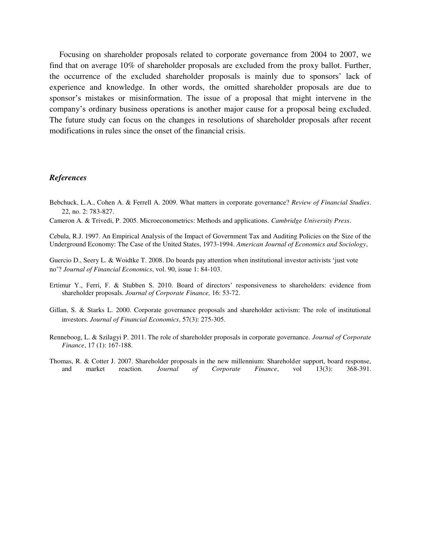Focusing on shareholder proposals related to corporate governance from 2004 to 2007, we find that on average 10% of shareholder proposals are excluded from the proxy ballot. Further, the occurrence of the excluded shareholder proposals is mainly due to sponsors' lack of experience and knowledge. In other words, the omitted shareholder proposals are due to sponsor's mistakes or misinformation. The issue of a proposal that might intervene in the company's ordinary business operations is another major cause for a proposal being excluded. The future study can focus on the changes in resolutions of shareholder proposals after recent modifications in rules since the onset of the financial crisis.

#### *References*

- Bebchuck, L.A., Cohen A. & Ferrell A. 2009. What matters in corporate governance? *Review of Financial Studies*. 22, no. 2: 783-827.
- Cameron A. & Trivedi, P. 2005. Microeconometrics: Methods and applications. *Cambridge University Press*.

Cebula, R.J. 1997. An Empirical Analysis of the Impact of Government Tax and Auditing Policies on the Size of the Underground Economy: The Case of the United States, 1973-1994. *American Journal of Economics and Sociology*,

Guercio D., Seery L. & Woidtke T. 2008. Do boards pay attention when institutional investor activists 'just vote no'? *Journal of Financial Economics*, vol. 90, issue 1: 84-103.

- Ertimur Y., Ferri, F. & Stubben S. 2010. Board of directors' responsiveness to shareholders: evidence from shareholder proposals. *Journal of Corporate Finance,* 16: 53-72.
- Gillan, S. & Starks L. 2000. Corporate governance proposals and shareholder activism: The role of institutional investors. *Journal of Financial Economics*, 57(3): 275-305.
- Renneboog, L. & Szilagyi P. 2011. The role of shareholder proposals in corporate governance. *Journal of Corporate Finance*, 17 (1): 167-188.
- Thomas, R. & Cotter J. 2007. Shareholder proposals in the new millennium: Shareholder support, board response, and market reaction. *Journal of Corporate Finance*, vol 13(3): 368-391.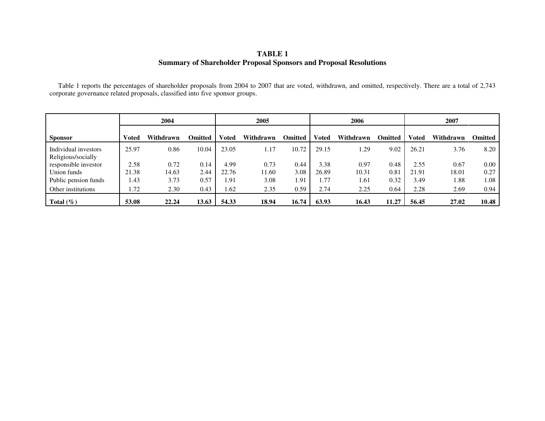#### **TABLE 1 Summary of Shareholder Proposal Sponsors and Proposal Resolutions**

 Table 1 reports the percentages of shareholder proposals from 2004 to 2007 that are voted, withdrawn, and omitted, respectively. There are a total of 2,743 corporate governance related proposals, classified into five sponsor groups.

|                                            | 2004  |           |                | 2005         |           |                |       | 2006      |                | 2007         |           |                |
|--------------------------------------------|-------|-----------|----------------|--------------|-----------|----------------|-------|-----------|----------------|--------------|-----------|----------------|
| <b>Sponsor</b>                             | Voted | Withdrawn | <b>Omitted</b> | <b>Voted</b> | Withdrawn | <b>Omitted</b> | Voted | Withdrawn | <b>Omitted</b> | <b>Voted</b> | Withdrawn | <b>Omitted</b> |
| Individual investors<br>Religious/socially | 25.97 | 0.86      | 10.04          | 23.05        | 1.17      | 10.72          | 29.15 | 1.29      | 9.02           | 26.21        | 3.76      | 8.20           |
| responsible investor                       | 2.58  | 0.72      | 0.14           | 4.99         | 0.73      | 0.44           | 3.38  | 0.97      | 0.48           | 2.55         | 0.67      | 0.00           |
| Union funds                                | 21.38 | 14.63     | 2.44           | 22.76        | 11.60     | 3.08           | 26.89 | 10.31     | 0.81           | 21.91        | 18.01     | 0.27           |
| Public pension funds                       | 1.43  | 3.73      | 0.57           | 1.91         | 3.08      | 1.91           | 1.77  | 1.61      | 0.32           | 3.49         | 1.88      | 1.08           |
| Other institutions                         | 1.72  | 2.30      | 0.43           | 1.62         | 2.35      | 0.59           | 2.74  | 2.25      | 0.64           | 2.28         | 2.69      | 0.94           |
| Total $(\% )$                              | 53.08 | 22.24     | 13.63          | 54.33        | 18.94     | 16.74          | 63.93 | 16.43     | 11.27          | 56.45        | 27.02     | 10.48          |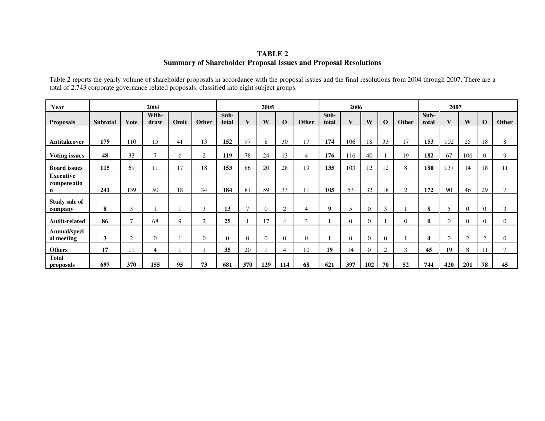#### **TABLE 2 Summary of Shareholder Proposal Issues and Proposal Resolutions**

| Year                                           |                 |              | 2004           |      |                |               |                | 2005           |                |                |               | 2006           |              |                |          |                  | 2007           |          |                |              |
|------------------------------------------------|-----------------|--------------|----------------|------|----------------|---------------|----------------|----------------|----------------|----------------|---------------|----------------|--------------|----------------|----------|------------------|----------------|----------|----------------|--------------|
| <b>Proposals</b>                               | <b>Subtotal</b> | <b>Vote</b>  | With-<br>draw  | Omit | Other          | Sub-<br>total | $\mathbf{V}$   | W              | $\bf{0}$       | Other          | Sub-<br>total | V              | W            | $\Omega$       | Other    | Sub-<br>total    | $\mathbf{V}$   | W        | $\mathbf 0$    | Other        |
| Antitakeover                                   | 179             | 110          | 15             | 41   | 13             | 152           | 97             | 8              | 30             | 17             | 174           | 106            | 18           | 33             | 17       | 153              | 102            | 25       | 18             | 8            |
| <b>Voting issues</b>                           | 48              | 33           | $\mathcal{I}$  | 6    | $\overline{2}$ | 119           | 78             | 24             | 13             | 4              | 176           | 116            | 40           |                | 19       | 182              | 67             | 106      | $\theta$       | 9            |
| <b>Board issues</b>                            | 115             | 69           | 11             | 17   | 18             | 153           | 86             | 20             | 28             | 19             | 135           | 103            | 12           | 12             | 8        | 180              | 137            | 14       | 18             | 11           |
| <b>Executive</b><br>compensatio<br>$\mathbf n$ | 241             | 139          | 50             | 18   | 34             | 184           | 81             | 59             | 33             | 11             | 105           | 53             | 32           | 18             | 2        | 172              | 90             | 46       | 29             | $\tau$       |
| Study sale of<br>company                       | 8               | 3            |                |      | 3              | 13            | $\overline{ }$ | $\overline{0}$ | $\overline{2}$ | 4              | 9             | 5              | $\mathbf{0}$ | 3              |          | 8                | 5              | $\theta$ | $\theta$       | 3            |
| Audit-related                                  | 86              | $\mathbf{z}$ | 68             | 9    | 2              | 25            |                | 17             | 4              | 3              |               | $\overline{0}$ | $\mathbf{0}$ |                | $\Omega$ | $\mathbf{0}$     | $\Omega$       | $\Omega$ | $\theta$       | $\Omega$     |
| Annual/speci<br>al meeting                     | 3               | 2            | $\overline{0}$ |      | $\overline{0}$ | $\bf{0}$      | $\theta$       | $\overline{0}$ | $\mathbf{0}$   | $\overline{0}$ |               | $\mathbf{0}$   | $\theta$     | $\overline{0}$ |          | $\boldsymbol{4}$ | $\overline{0}$ | 2        | $\overline{2}$ | $\mathbf{0}$ |
| <b>Others</b>                                  | 17              | 11           | $\overline{4}$ |      |                | 35            | 20             |                | 4              | 10             | 19            | 14             | $\Omega$     | $\mathcal{L}$  | 3        | 45               | 19             | 8        | 11             | 7            |
| <b>Total</b><br>proposals                      | 697             | 370          | 155            | 95   | 73             | 681           | 370            | 129            | 114            | 68             | 621           | 397            | 102          | 70             | 52       | 744              | 420            | 201      | 78             | 45           |

Table 2 reports the yearly volume of shareholder proposals in accordance with the proposal issues and the final resolutions from 2004 through 2007. There are a total of 2,743 corporate governance related proposals, classified into eight subject groups.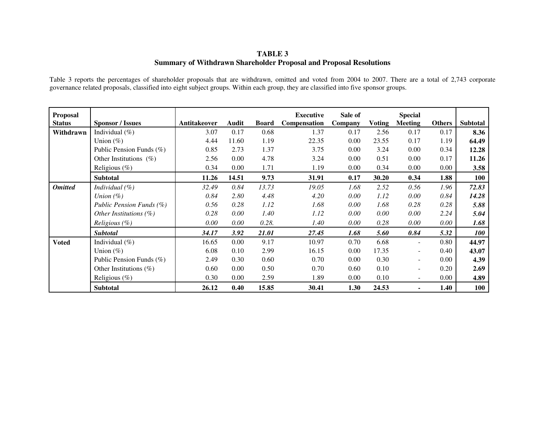#### **TABLE 3 Summary of Withdrawn Shareholder Proposal and Proposal Resolutions**

Table 3 reports the percentages of shareholder proposals that are withdrawn, omitted and voted from 2004 to 2007. There are a total of 2,743 corporate governance related proposals, classified into eight subject groups. Within each group, they are classified into five sponsor groups.

| Proposal<br><b>Status</b> | <b>Sponsor / Issues</b>   | Antitakeover | <b>Audit</b> | <b>Board</b> | <b>Executive</b><br>Compensation | Sale of<br>Company | <b>Voting</b> | <b>Special</b><br><b>Meeting</b> | <b>Others</b> | Subtotal   |
|---------------------------|---------------------------|--------------|--------------|--------------|----------------------------------|--------------------|---------------|----------------------------------|---------------|------------|
| Withdrawn                 | Individual $(\% )$        | 3.07         | 0.17         | 0.68         | 1.37                             | 0.17               | 2.56          | 0.17                             | 0.17          | 8.36       |
|                           | Union $(\%)$              | 4.44         | 11.60        | 1.19         | 22.35                            | 0.00               | 23.55         | 0.17                             | 1.19          | 64.49      |
|                           | Public Pension Funds (%)  | 0.85         | 2.73         | 1.37         | 3.75                             | 0.00               | 3.24          | 0.00                             | 0.34          | 12.28      |
|                           | Other Institutions $(\%)$ | 2.56         | 0.00         | 4.78         | 3.24                             | 0.00               | 0.51          | 0.00                             | 0.17          | 11.26      |
|                           | Religious $(\%)$          | 0.34         | 0.00         | 1.71         | 1.19                             | 0.00               | 0.34          | 0.00                             | 0.00          | 3.58       |
|                           | Subtotal                  | 11.26        | 14.51        | 9.73         | 31.91                            | 0.17               | 30.20         | 0.34                             | 1.88          | 100        |
| <b>Omitted</b>            | Individual $(\%)$         | 32.49        | 0.84         | 13.73        | 19.05                            | 1.68               | 2.52          | 0.56                             | 1.96          | 72.83      |
|                           | Union $(\%)$              | 0.84         | 2.80         | 4.48         | 4.20                             | 0.00               | 1.12          | 0.00                             | 0.84          | 14.28      |
|                           | Public Pension Funds (%)  | 0.56         | 0.28         | 1.12         | 1.68                             | 0.00               | 1.68          | 0.28                             | 0.28          | 5.88       |
|                           | Other Institutions $(\%)$ | 0.28         | 0.00         | 1.40         | 1.12                             | 0.00               | 0.00          | 0.00                             | 2.24          | 5.04       |
|                           | <i>Religious</i> $(\%)$   | 0.00         | 0.00         | 0.28.        | 1.40                             | 0.00               | 0.28          | 0.00                             | $0.00\,$      | 1.68       |
|                           | Subtotal                  | 34.17        | 3.92         | 21.01        | 27.45                            | 1.68               | 5.60          | 0.84                             | 5.32          | <b>100</b> |
| <b>Voted</b>              | Individual $(\% )$        | 16.65        | 0.00         | 9.17         | 10.97                            | 0.70               | 6.68          | $\overline{\phantom{a}}$         | 0.80          | 44.97      |
|                           | Union $(\%)$              | 6.08         | 0.10         | 2.99         | 16.15                            | 0.00               | 17.35         | $\sim$                           | 0.40          | 43.07      |
|                           | Public Pension Funds (%)  | 2.49         | 0.30         | 0.60         | 0.70                             | 0.00               | 0.30          | $\overline{\phantom{a}}$         | 0.00          | 4.39       |
|                           | Other Institutions $(\%)$ | 0.60         | 0.00         | 0.50         | 0.70                             | 0.60               | 0.10          | $\overline{\phantom{a}}$         | 0.20          | 2.69       |
|                           | Religious $(\%)$          | 0.30         | 0.00         | 2.59         | 1.89                             | 0.00               | 0.10          |                                  | 0.00          | 4.89       |
|                           | <b>Subtotal</b>           | 26.12        | 0.40         | 15.85        | 30.41                            | 1.30               | 24.53         |                                  | 1.40          | 100        |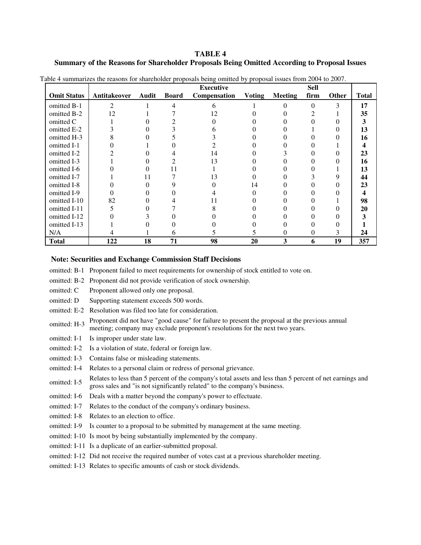#### **TABLE 4 Summary of the Reasons for Shareholder Proposals Being Omitted According to Proposal Issues**

|                    |                |       |              | <b>Executive</b> |               |                | <b>Sell</b> |              |              |
|--------------------|----------------|-------|--------------|------------------|---------------|----------------|-------------|--------------|--------------|
| <b>Omit Status</b> | Antitakeover   | Audit | <b>Board</b> | Compensation     | <b>Voting</b> | <b>Meeting</b> | firm        | <b>Other</b> | <b>Total</b> |
| omitted B-1        | $\mathfrak{D}$ |       | 4            | 6                |               | 0              | $\Omega$    | 3            | 17           |
| omitted B-2        | 12             |       |              | 12               |               |                |             |              | 35           |
| omitted C          |                |       |              |                  |               |                |             |              | 3            |
| omitted E-2        |                |       |              |                  |               |                |             |              | 13           |
| omitted H-3        |                |       |              |                  |               |                |             |              | 16           |
| omitted I-1        |                |       |              |                  |               |                |             |              |              |
| omitted I-2        |                |       |              | 14               |               |                |             |              | 23           |
| omitted I-3        |                |       |              | 13               |               |                |             |              | 16           |
| omitted I-6        |                |       |              |                  |               |                |             |              | 13           |
| omitted I-7        |                | 11    |              | 13               |               |                |             |              | 44           |
| omitted I-8        |                |       |              |                  | 14            |                |             |              | 23           |
| omitted I-9        |                |       |              |                  |               |                |             |              | 4            |
| omitted I-10       | 82             |       |              |                  |               |                |             |              | 98           |
| omitted I-11       |                |       |              |                  |               |                |             |              | 20           |
| omitted I-12       |                |       |              |                  |               |                |             |              | ว            |
| omitted I-13       |                |       |              |                  |               |                |             |              |              |
| N/A                |                |       | 6            |                  |               | 0              | 0           | 3            | 24           |
| <b>Total</b>       | 122            | 18    | 71           | 98               | 20            | 3              | 6           | 19           | 357          |

Table 4 summarizes the reasons for shareholder proposals being omitted by proposal issues from 2004 to 2007.

#### **Note: Securities and Exchange Commission Staff Decisions**

- omitted: B-1 Proponent failed to meet requirements for ownership of stock entitled to vote on.
- omitted: B-2 Proponent did not provide verification of stock ownership.
- omitted: C Proponent allowed only one proposal.
- omitted: D Supporting statement exceeds 500 words.
- omitted: E-2 Resolution was filed too late for consideration.
- omitted: H-3 Proponent did not have "good cause" for failure to present the proposal at the previous annual<br>meeting comparison and at the previous annual at the previous annual meeting; company may exclude proponent's resolutions for the next two years.
- omitted: I-1 Is improper under state law.
- omitted: I-2 Is a violation of state, federal or foreign law.
- omitted: I-3 Contains false or misleading statements.
- omitted: I-4 Relates to a personal claim or redress of personal grievance.
- omitted: I-5 Relates to less than 5 percent of the company's total assets and less than 5 percent of net earnings and gross sales and "is not significantly related" to the company's business.
- omitted: I-6 Deals with a matter beyond the company's power to effectuate.
- omitted: I-7 Relates to the conduct of the company's ordinary business.
- omitted: I-8 Relates to an election to office.
- omitted: I-9 Is counter to a proposal to be submitted by management at the same meeting.
- omitted: I-10 Is moot by being substantially implemented by the company.
- omitted: I-11 Is a duplicate of an earlier-submitted proposal.
- omitted: I-12 Did not receive the required number of votes cast at a previous shareholder meeting.
- omitted: I-13 Relates to specific amounts of cash or stock dividends.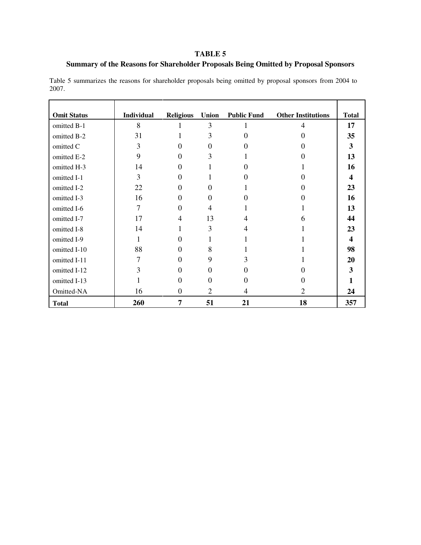### **TABLE 5**

#### **Summary of the Reasons for Shareholder Proposals Being Omitted by Proposal Sponsors**

Table 5 summarizes the reasons for shareholder proposals being omitted by proposal sponsors from 2004 to 2007.

| <b>Omit Status</b> | Individual | <b>Religious</b> | <b>Union</b>   | <b>Public Fund</b> | <b>Other Institutions</b>   | <b>Total</b>            |
|--------------------|------------|------------------|----------------|--------------------|-----------------------------|-------------------------|
| omitted B-1        | 8          |                  | 3              |                    | 4                           | 17                      |
| omitted B-2        | 31         |                  | 3              | $\Omega$           | 0                           | 35                      |
| omitted C          | 3          | 0                | $\Omega$       |                    |                             | 3                       |
| omitted E-2        | 9          | 0                | 3              |                    |                             | 13                      |
| omitted H-3        | 14         | 0                |                | 0                  |                             | 16                      |
| omitted I-1        | 3          | 0                |                | $\mathbf{\Omega}$  |                             | $\boldsymbol{4}$        |
| omitted I-2        | 22         | 0                | $\Omega$       |                    |                             | 23                      |
| omitted I-3        | 16         | 0                | $\Omega$       | 0                  | 0                           | 16                      |
| omitted I-6        | 7          | 0                | $\overline{4}$ |                    |                             | 13                      |
| omitted I-7        | 17         | $\overline{4}$   | 13             | 4                  | 6                           | 44                      |
| omitted I-8        | 14         | 1                | 3              | 4                  |                             | 23                      |
| omitted I-9        | 1          | 0                |                |                    |                             | $\overline{\mathbf{4}}$ |
| omitted I-10       | 88         | 0                | 8              |                    |                             | 98                      |
| omitted I-11       | 7          | 0                | 9              | 3                  |                             | 20                      |
| omitted I-12       | 3          | 0                | $\Omega$       | 0                  |                             | 3                       |
| omitted I-13       |            | 0                | $\Omega$       | $\Omega$           |                             |                         |
| Omitted-NA         | 16         | $\Omega$         | $\overline{2}$ | 4                  | $\mathcal{D}_{\mathcal{L}}$ | 24                      |
| <b>Total</b>       | 260        | 7                | 51             | 21                 | 18                          | 357                     |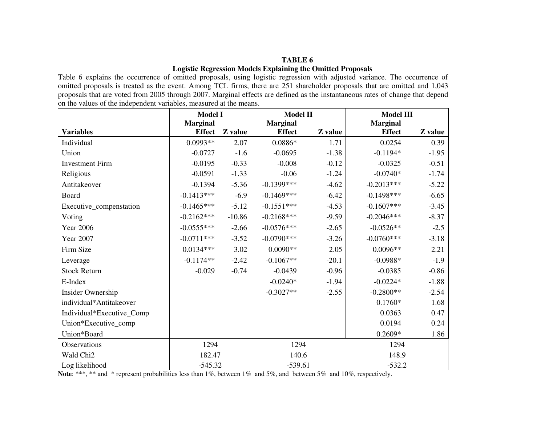#### **TABLE 6 Logistic Regression Models Explaining the Omitted Proposals**

Table 6 explains the occurrence of omitted proposals, using logistic regression with adjusted variance. The occurrence of omitted proposals is treated as the event. Among TCL firms, there are 251 shareholder proposals that are omitted and 1,043 proposals that are voted from 2005 through 2007. Marginal effects are defined as the instantaneous rates of change that depend on the values of the independent variables, measured at the means.

|                           | <b>Model I</b>  |          | <b>Model II</b> |         | <b>Model III</b> |         |
|---------------------------|-----------------|----------|-----------------|---------|------------------|---------|
|                           | <b>Marginal</b> |          | <b>Marginal</b> |         | <b>Marginal</b>  |         |
| <b>Variables</b>          | <b>Effect</b>   | Z value  | <b>Effect</b>   | Z value | <b>Effect</b>    | Z value |
| Individual                | $0.0993**$      | 2.07     | $0.0886*$       | 1.71    | 0.0254           | 0.39    |
| Union                     | $-0.0727$       | $-1.6$   | $-0.0695$       | $-1.38$ | $-0.1194*$       | $-1.95$ |
| <b>Investment Firm</b>    | $-0.0195$       | $-0.33$  | $-0.008$        | $-0.12$ | $-0.0325$        | $-0.51$ |
| Religious                 | $-0.0591$       | $-1.33$  | $-0.06$         | $-1.24$ | $-0.0740*$       | $-1.74$ |
| Antitakeover              | $-0.1394$       | $-5.36$  | $-0.1399***$    | $-4.62$ | $-0.2013***$     | $-5.22$ |
| Board                     | $-0.1413***$    | $-6.9$   | $-0.1469***$    | $-6.42$ | $-0.1498***$     | $-6.65$ |
| Executive_compenstation   | $-0.1465***$    | $-5.12$  | $-0.1551***$    | $-4.53$ | $-0.1607***$     | $-3.45$ |
| Voting                    | $-0.2162***$    | $-10.86$ | $-0.2168***$    | $-9.59$ | $-0.2046***$     | $-8.37$ |
| <b>Year 2006</b>          | $-0.0555***$    | $-2.66$  | $-0.0576***$    | $-2.65$ | $-0.0526**$      | $-2.5$  |
| <b>Year 2007</b>          | $-0.0711***$    | $-3.52$  | $-0.0790***$    | $-3.26$ | $-0.0760***$     | $-3.18$ |
| Firm Size                 | $0.0134***$     | 3.02     | $0.0090**$      | 2.05    | $0.0096**$       | 2.21    |
| Leverage                  | $-0.1174**$     | $-2.42$  | $-0.1067**$     | $-20.1$ | $-0.0988*$       | $-1.9$  |
| <b>Stock Return</b>       | $-0.029$        | $-0.74$  | $-0.0439$       | $-0.96$ | $-0.0385$        | $-0.86$ |
| E-Index                   |                 |          | $-0.0240*$      | $-1.94$ | $-0.0224*$       | $-1.88$ |
| Insider Ownership         |                 |          | $-0.3027**$     | $-2.55$ | $-0.2800**$      | $-2.54$ |
| individual*Antitakeover   |                 |          |                 |         | $0.1760*$        | 1.68    |
| Individual*Executive_Comp |                 |          |                 |         | 0.0363           | 0.47    |
| Union*Executive_comp      |                 |          |                 |         | 0.0194           | 0.24    |
| Union*Board               |                 |          |                 |         | $0.2609*$        | 1.86    |
| Observations              | 1294            |          | 1294            |         | 1294             |         |
| Wald Chi <sub>2</sub>     | 182.47          |          | 140.6           |         | 148.9            |         |
| Log likelihood            | $-545.32$       |          | $-539.61$       |         | $-532.2$         |         |

**Note**: \*\*\*, \*\* and \* represent probabilities less than 1%, between 1% and 5%, and between 5% and 10%, respectively.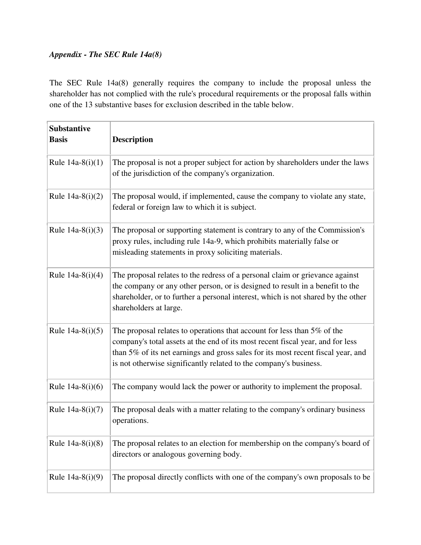## *Appendix - The SEC Rule 14a(8)*

The SEC Rule 14a(8) generally requires the company to include the proposal unless the shareholder has not complied with the rule's procedural requirements or the proposal falls within one of the 13 substantive bases for exclusion described in the table below.

| <b>Substantive</b><br><b>Basis</b> | <b>Description</b>                                                                                                                                                                                                                                                                                                 |
|------------------------------------|--------------------------------------------------------------------------------------------------------------------------------------------------------------------------------------------------------------------------------------------------------------------------------------------------------------------|
| Rule $14a-8(i)(1)$                 | The proposal is not a proper subject for action by shareholders under the laws<br>of the jurisdiction of the company's organization.                                                                                                                                                                               |
| Rule $14a-8(i)(2)$                 | The proposal would, if implemented, cause the company to violate any state,<br>federal or foreign law to which it is subject.                                                                                                                                                                                      |
| Rule $14a-8(i)(3)$                 | The proposal or supporting statement is contrary to any of the Commission's<br>proxy rules, including rule 14a-9, which prohibits materially false or<br>misleading statements in proxy soliciting materials.                                                                                                      |
| Rule $14a-8(i)(4)$                 | The proposal relates to the redress of a personal claim or grievance against<br>the company or any other person, or is designed to result in a benefit to the<br>shareholder, or to further a personal interest, which is not shared by the other<br>shareholders at large.                                        |
| Rule $14a-8(i)(5)$                 | The proposal relates to operations that account for less than 5% of the<br>company's total assets at the end of its most recent fiscal year, and for less<br>than 5% of its net earnings and gross sales for its most recent fiscal year, and<br>is not otherwise significantly related to the company's business. |
| Rule $14a-8(i)(6)$                 | The company would lack the power or authority to implement the proposal.                                                                                                                                                                                                                                           |
| Rule 14a-8(i)(7)                   | The proposal deals with a matter relating to the company's ordinary business<br>operations.                                                                                                                                                                                                                        |
| Rule $14a-8(i)(8)$                 | The proposal relates to an election for membership on the company's board of<br>directors or analogous governing body.                                                                                                                                                                                             |
| Rule $14a-8(i)(9)$                 | The proposal directly conflicts with one of the company's own proposals to be                                                                                                                                                                                                                                      |